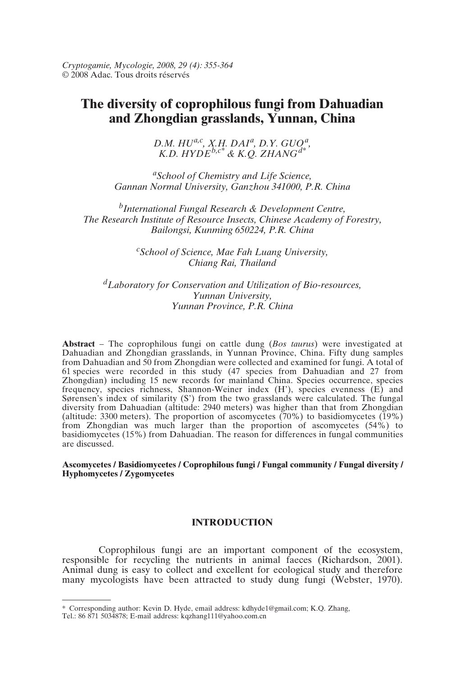*Cryptogamie, Mycologie, 2008, 29 (4): 355-364* © 2008 Adac. Tous droits réservés

# **The diversity of coprophilous fungi from Dahuadian and Zhongdian grasslands, Yunnan, China**

*D.M. HUa,c, X.H. DAIa, D.Y. GUOa, K.D. HYDEb,c\* & K.Q. ZHANGd\**

*aSchool of Chemistry and Life Science, Gannan Normal University, Ganzhou 341000, P.R. China*

*bInternational Fungal Research & Development Centre, The Research Institute of Resource Insects, Chinese Academy of Forestry, Bailongsi, Kunming 650224, P.R. China*

> *c School of Science, Mae Fah Luang University, Chiang Rai, Thailand*

*dLaboratory for Conservation and Utilization of Bio-resources, Yunnan University, Yunnan Province, P.R. China*

**Abstract** – The coprophilous fungi on cattle dung (*Bos taurus*) were investigated at Dahuadian and Zhongdian grasslands, in Yunnan Province, China. Fifty dung samples from Dahuadian and 50 from Zhongdian were collected and examined for fungi. A total of 61 species were recorded in this study (47 species from Dahuadian and 27 from Zhongdian) including 15 new records for mainland China. Species occurrence, species frequency, species richness, Shannon-Weiner index (H'), species evenness (E) and Sørensen's index of similarity (S') from the two grasslands were calculated. The fungal diversity from Dahuadian (altitude: 2940 meters) was higher than that from Zhongdian (altitude: 3300 meters). The proportion of ascomycetes (70%) to basidiomycetes (19%) from Zhongdian was much larger than the proportion of ascomycetes (54%) to basidiomycetes (15%) from Dahuadian. The reason for differences in fungal communities are discussed.

**Ascomycetes / Basidiomycetes / Coprophilous fungi / Fungal community / Fungal diversity / Hyphomycetes / Zygomycetes**

## **INTRODUCTION**

Coprophilous fungi are an important component of the ecosystem, responsible for recycling the nutrients in animal faeces (Richardson, 2001). Animal dung is easy to collect and excellent for ecological study and therefore many mycologists have been attracted to study dung fungi (Webster, 1970).

<sup>\*</sup> Corresponding author: Kevin D. Hyde, email address: kdhyde1@gmail.com; K.Q. Zhang, Tel.: 86 871 5034878; E-mail address: kqzhang111@yahoo.com.cn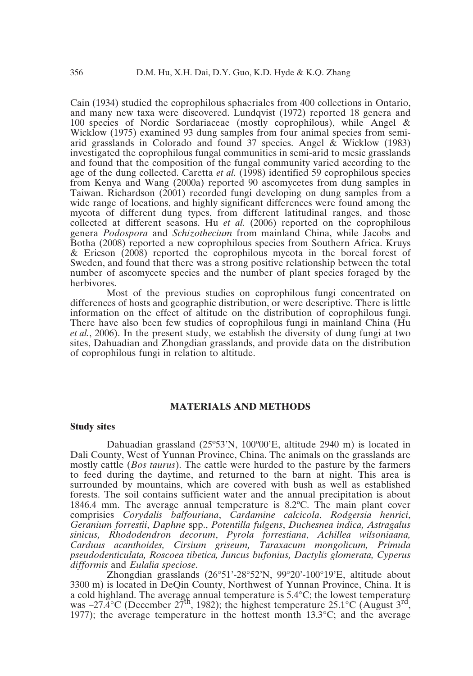Cain (1934) studied the coprophilous sphaeriales from 400 collections in Ontario, and many new taxa were discovered. Lundqvist (1972) reported 18 genera and 100 species of Nordic Sordariaceae (mostly coprophilous), while Angel & Wicklow (1975) examined 93 dung samples from four animal species from semiarid grasslands in Colorado and found 37 species. Angel  $\&$  Wicklow (1983) investigated the coprophilous fungal communities in semi-arid to mesic grasslands and found that the composition of the fungal community varied according to the age of the dung collected. Caretta *et al.* (1998) identified 59 coprophilous species from Kenya and Wang (2000a) reported 90 ascomycetes from dung samples in Taiwan. Richardson (2001) recorded fungi developing on dung samples from a wide range of locations, and highly significant differences were found among the mycota of different dung types, from different latitudinal ranges, and those collected at different seasons. Hu *et al.* (2006) reported on the coprophilous genera *Podospora* and *Schizothecium* from mainland China, while Jacobs and Botha (2008) reported a new coprophilous species from Southern Africa. Kruys & Ericson (2008) reported the coprophilous mycota in the boreal forest of Sweden, and found that there was a strong positive relationship between the total number of ascomycete species and the number of plant species foraged by the herbivores.

Most of the previous studies on coprophilous fungi concentrated on differences of hosts and geographic distribution, or were descriptive. There is little information on the effect of altitude on the distribution of coprophilous fungi. There have also been few studies of coprophilous fungi in mainland China (Hu *et al.*, 2006). In the present study, we establish the diversity of dung fungi at two sites, Dahuadian and Zhongdian grasslands, and provide data on the distribution of coprophilous fungi in relation to altitude.

## **MATERIALS AND METHODS**

#### **Study sites**

Dahuadian grassland (25º53'N, 100º00'E, altitude 2940 m) is located in Dali County, West of Yunnan Province, China. The animals on the grasslands are mostly cattle (*Bos taurus*). The cattle were hurded to the pasture by the farmers to feed during the daytime, and returned to the barn at night. This area is surrounded by mountains, which are covered with bush as well as established forests. The soil contains sufficient water and the annual precipitation is about 1846.4 mm. The average annual temperature is 8.2ºC. The main plant cover comprisies *Corydalis balfouriana*, *Cardamine calcicola*, *Rodgersia henrici*, *Geranium forrestii*, *Daphne* spp., *Potentilla fulgens*, *Duchesnea indica, Astragalus sinicus, Rhododendron decorum*, *Pyrola forrestiana*, *Achillea wilsoniaana, Carduus acanthoides, Cirsium griseum, Taraxacum mongolicum, Primula pseudodenticulata, Roscoea tibetica, Juncus bufonius, Dactylis glomerata, Cyperus difformis* and *Eulalia speciose*.

Zhongdian grasslands (26°51'-28°52'N, 99°20'-100°19'E, altitude about 3300 m) is located in DeQin County, Northwest of Yunnan Province, China. It is a cold highland. The average annual temperature is 5.4°C; the lowest temperature was  $-27.\overline{4}^{\circ}$ C (December  $27^{th}$ , 1982); the highest temperature 25.1°C (August  $3^{rd}$ , 1977); the average temperature in the hottest month  $13.3^{\circ}$ C; and the average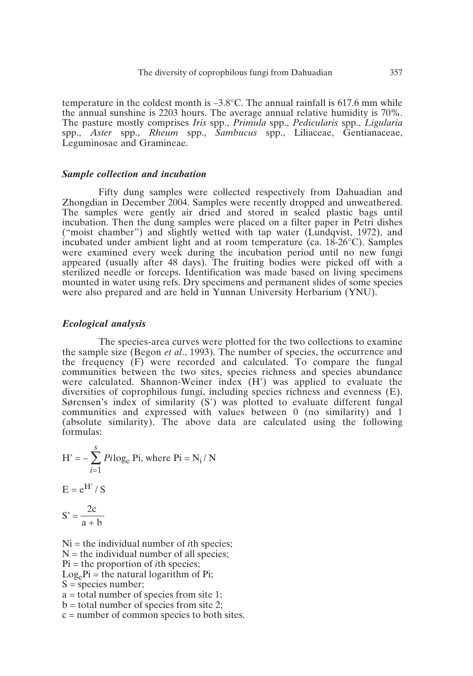temperature in the coldest month is  $-3.8^{\circ}$ C. The annual rainfall is 617.6 mm while the annual sunshine is 2203 hours. The average annual relative humidity is 70%. The pasture mostly comprises *Iris* spp., *Primula* spp., *Pedicularis* spp., *Ligularia* spp., *Aster* spp., *Rheum* spp., *Sambucus* spp., Liliaceae, Gentianaceae, Leguminosae and Gramineae.

#### *Sample collection and incubation*

Fifty dung samples were collected respectively from Dahuadian and Zhongdian in December 2004. Samples were recently dropped and unweathered. The samples were gently air dried and stored in sealed plastic bags until incubation. Then the dung samples were placed on a filter paper in Petri dishes ("moist chamber") and slightly wetted with tap water (Lundqvist, 1972), and incubated under ambient light and at room temperature (ca. 18-26°C). Samples were examined every week during the incubation period until no new fungi appeared (usually after 48 days). The fruiting bodies were picked off with a sterilized needle or forceps. Identification was made based on living specimens mounted in water using refs. Dry specimens and permanent slides of some species were also prepared and are held in Yunnan University Herbarium (YNU).

## *Ecological analysis*

The species-area curves were plotted for the two collections to examine the sample size (Begon *et al*., 1993). The number of species, the occurrence and the frequency (F) were recorded and calculated. To compare the fungal communities between the two sites, species richness and species abundance were calculated. Shannon-Weiner index (H') was applied to evaluate the diversities of coprophilous fungi, including species richness and evenness (E). Sørensen's index of similarity (S') was plotted to evaluate different fungal communities and expressed with values between 0 (no similarity) and 1 (absolute similarity). The above data are calculated using the following formulas:

H' = 
$$
-\sum_{i=1}^{S} Pi \log_e Pi
$$
, where Pi = N<sub>i</sub> / N  
E = e<sup>H'</sup> / S  
S' =  $\frac{2c}{a+b}$ 

Ni = the individual number of *i*th species;  $N =$  the individual number of all species; Pi = the proportion of *i*th species;  $Log_e Pi$  = the natural logarithm of Pi;  $S =$ species number;  $a =$  total number of species from site 1;  $b =$  total number of species from site 2; c = number of common species to both sites.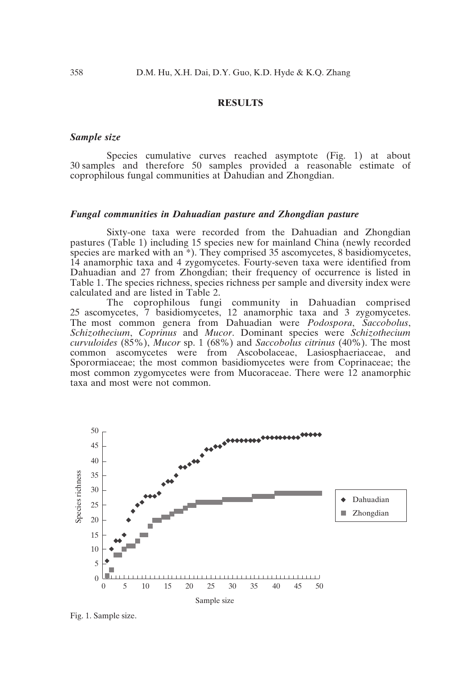## **RESULTS**

#### *Sample size*

Species cumulative curves reached asymptote (Fig. 1) at about 30 samples and therefore 50 samples provided a reasonable estimate of coprophilous fungal communities at Dahudian and Zhongdian.

#### *Fungal communities in Dahuadian pasture and Zhongdian pasture*

Sixty-one taxa were recorded from the Dahuadian and Zhongdian pastures (Table 1) including 15 species new for mainland China (newly recorded species are marked with an \*). They comprised 35 ascomycetes, 8 basidiomycetes, 14 anamorphic taxa and 4 zygomycetes. Fourty-seven taxa were identified from Dahuadian and 27 from Zhongdian; their frequency of occurrence is listed in Table 1. The species richness, species richness per sample and diversity index were calculated and are listed in Table 2.

The coprophilous fungi community in Dahuadian comprised 25 ascomycetes, 7 basidiomycetes, 12 anamorphic taxa and 3 zygomycetes. The most common genera from Dahuadian were *Podospora*, *Saccobolus*, *Schizothecium*, *Coprinus* and *Mucor*. Dominant species were *Schizothecium curvuloides* (85%), *Mucor* sp. 1 (68%) and *Saccobolus citrinus* (40%). The most common ascomycetes were from Ascobolaceae, Lasiosphaeriaceae, and Sporormiaceae; the most common basidiomycetes were from Coprinaceae; the most common zygomycetes were from Mucoraceae. There were 12 anamorphic taxa and most were not common.



Fig. 1. Sample size.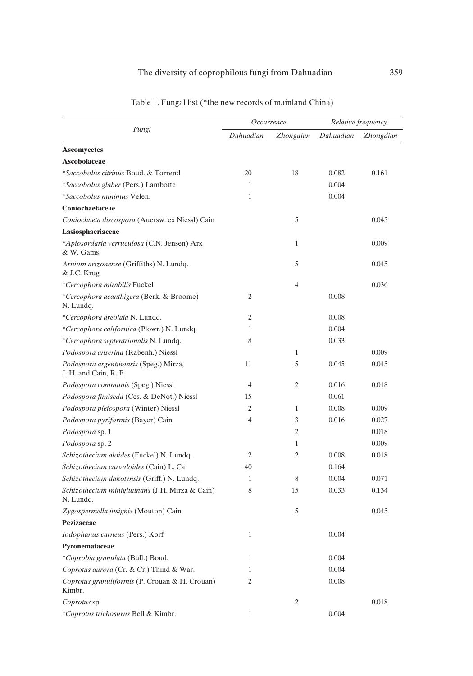## The diversity of coprophilous fungi from Dahuadian 359

| Fungi                                                           |              | Occurrence       |           | Relative frequency |  |
|-----------------------------------------------------------------|--------------|------------------|-----------|--------------------|--|
|                                                                 | Dahuadian    | <i>Zhongdian</i> | Dahuadian | <b>Zhongdian</b>   |  |
| <b>Ascomycetes</b>                                              |              |                  |           |                    |  |
| Ascobolaceae                                                    |              |                  |           |                    |  |
| *Saccobolus citrinus Boud, & Torrend                            | 20           | 18               | 0.082     | 0.161              |  |
| *Saccobolus glaber (Pers.) Lambotte                             | 1            |                  | 0.004     |                    |  |
| *Saccobolus minimus Velen.                                      | 1            |                  | 0.004     |                    |  |
| Coniochaetaceae                                                 |              |                  |           |                    |  |
| Coniochaeta discospora (Auersw. ex Niessl) Cain                 |              | 5                |           | 0.045              |  |
| Lasiosphaeriaceae                                               |              |                  |           |                    |  |
| *Apiosordaria verruculosa (C.N. Jensen) Arx<br>& W. Gams        |              | $\mathbf{1}$     |           | 0.009              |  |
| Arnium arizonense (Griffiths) N. Lundq.<br>& J.C. Krug          |              | 5                |           | 0.045              |  |
| *Cercophora mirabilis Fuckel                                    |              | $\overline{4}$   |           | 0.036              |  |
| *Cercophora acanthigera (Berk. & Broome)<br>N. Lundq.           | 2            |                  | 0.008     |                    |  |
| *Cercophora areolata N. Lundq.                                  | 2            |                  | 0.008     |                    |  |
| *Cercophora californica (Plowr.) N. Lundq.                      | 1            |                  | 0.004     |                    |  |
| *Cercophora septentrionalis N. Lundq.                           | 8            |                  | 0.033     |                    |  |
| Podospora anserina (Rabenh.) Niessl                             |              | $\mathbf{1}$     |           | 0.009              |  |
| Podospora argentinansis (Speg.) Mirza,<br>J. H. and Cain, R. F. | 11           | 5                | 0.045     | 0.045              |  |
| Podospora communis (Speg.) Niessl                               | 4            | 2                | 0.016     | 0.018              |  |
| Podospora fimiseda (Ces. & DeNot.) Niessl                       | 15           |                  | 0.061     |                    |  |
| Podospora pleiospora (Winter) Niessl                            | 2            | 1                | 0.008     | 0.009              |  |
| Podospora pyriformis (Bayer) Cain                               | 4            | 3                | 0.016     | 0.027              |  |
| Podospora sp. 1                                                 |              | 2                |           | 0.018              |  |
| Podospora sp. 2                                                 |              | $\mathbf{1}$     |           | 0.009              |  |
| Schizothecium aloides (Fuckel) N. Lundq.                        | 2            | 2                | 0.008     | 0.018              |  |
| Schizothecium curvuloides (Cain) L. Cai                         | 40           |                  | 0.164     |                    |  |
| Schizothecium dakotensis (Griff.) N. Lundq.                     | 1            | 8                | 0.004     | 0.071              |  |
| Schizothecium miniglutinans (J.H. Mirza & Cain)<br>N. Lundq.    | 8            | 15               | 0.033     | 0.134              |  |
| Zygospermella insignis (Mouton) Cain                            |              | 5                |           | 0.045              |  |
| Pezizaceae                                                      |              |                  |           |                    |  |
| Iodophanus carneus (Pers.) Korf                                 | 1            |                  | 0.004     |                    |  |
| Pyronemataceae                                                  |              |                  |           |                    |  |
| *Coprobia granulata (Bull.) Boud.                               | $\mathbf{1}$ |                  | 0.004     |                    |  |
| Coprotus aurora (Cr. & Cr.) Thind & War.                        | 1            |                  | 0.004     |                    |  |
| Coprotus granuliformis (P. Crouan & H. Crouan)<br>Kimbr.        | 2            |                  | 0.008     |                    |  |
| Coprotus sp.                                                    |              | 2                |           | 0.018              |  |
| *Coprotus trichosurus Bell & Kimbr.                             | 1            |                  | 0.004     |                    |  |

Table 1. Fungal list (\*the new records of mainland China)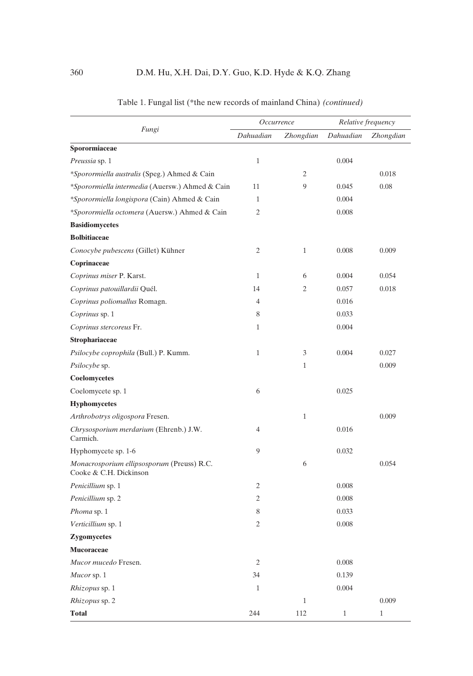| Fungi                                                                | Occurrence     |                  | Relative frequency |              |
|----------------------------------------------------------------------|----------------|------------------|--------------------|--------------|
|                                                                      | Dahuadian      | <i>Zhongdian</i> | Dahuadian          | Zhongdian    |
| Sporormiaceae                                                        |                |                  |                    |              |
| <i>Preussia</i> sp. 1                                                | $\mathbf{1}$   |                  | 0.004              |              |
| *Sporormiella australis (Speg.) Ahmed & Cain                         |                | 2                |                    | 0.018        |
| *Sporormiella intermedia (Auersw.) Ahmed & Cain                      | 11             | 9                | 0.045              | 0.08         |
| *Sporormiella longispora (Cain) Ahmed & Cain                         | 1              |                  | 0.004              |              |
| *Sporormiella octomera (Auersw.) Ahmed & Cain                        | 2              |                  | 0.008              |              |
| <b>Basidiomycetes</b>                                                |                |                  |                    |              |
| <b>Bolbitiaceae</b>                                                  |                |                  |                    |              |
| Conocybe pubescens (Gillet) Kühner                                   | 2              | 1                | 0.008              | 0.009        |
| Coprinaceae                                                          |                |                  |                    |              |
| Coprinus miser P. Karst.                                             | $\mathbf{1}$   | 6                | 0.004              | 0.054        |
| Coprinus patouillardii Quél.                                         | 14             | 2                | 0.057              | 0.018        |
| Coprinus poliomallus Romagn.                                         | $\overline{4}$ |                  | 0.016              |              |
| Coprinus sp. 1                                                       | 8              |                  | 0.033              |              |
| Coprinus stercoreus Fr.                                              | 1              |                  | 0.004              |              |
| Strophariaceae                                                       |                |                  |                    |              |
| <i>Psilocybe coprophila</i> (Bull.) P. Kumm.                         | $\mathbf{1}$   | 3                | 0.004              | 0.027        |
| <i>Psilocybe</i> sp.                                                 |                | 1                |                    | 0.009        |
| Coelomycetes                                                         |                |                  |                    |              |
| Coelomycete sp. 1                                                    | 6              |                  | 0.025              |              |
| <b>Hyphomycetes</b>                                                  |                |                  |                    |              |
| Arthrobotrys oligospora Fresen.                                      |                | 1                |                    | 0.009        |
| Chrysosporium merdarium (Ehrenb.) J.W.<br>Carmich.                   | $\overline{4}$ |                  | 0.016              |              |
| Hyphomycete sp. 1-6                                                  | 9              |                  | 0.032              |              |
| Monacrosporium ellipsosporum (Preuss) R.C.<br>Cooke & C.H. Dickinson |                | 6                |                    | 0.054        |
| Penicillium sp. 1                                                    | 2              |                  | 0.008              |              |
| Penicillium sp. 2                                                    | 2              |                  | 0.008              |              |
| Phoma sp. 1                                                          | 8              |                  | 0.033              |              |
| Verticillium sp. 1                                                   | 2              |                  | 0.008              |              |
| Zygomycetes                                                          |                |                  |                    |              |
| <b>Mucoraceae</b>                                                    |                |                  |                    |              |
| Mucor mucedo Fresen.                                                 | $\sqrt{2}$     |                  | 0.008              |              |
| Mucor sp. 1                                                          | 34             |                  | 0.139              |              |
| Rhizopus sp. 1                                                       | $\mathbf{1}$   |                  | 0.004              |              |
| Rhizopus sp. 2                                                       |                | $1\,$            |                    | 0.009        |
| <b>Total</b>                                                         | 244            | 112              | $\mathbf{1}$       | $\mathbf{1}$ |

Table 1. Fungal list (\*the new records of mainland China) *(continued)*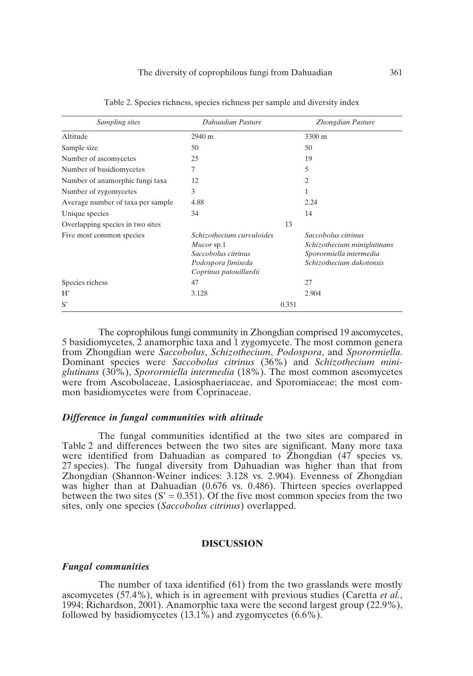| Sampling sites                    | Dahuadian Pasture                                                                                              | Zhongdian Pasture                                                                                         |
|-----------------------------------|----------------------------------------------------------------------------------------------------------------|-----------------------------------------------------------------------------------------------------------|
| Altitude                          | 2940 m                                                                                                         | 3300 m                                                                                                    |
| Sample size                       | 50                                                                                                             | 50                                                                                                        |
| Number of ascomycetes             | 25                                                                                                             | 19                                                                                                        |
| Number of basidiomycetes          | 7                                                                                                              | 5                                                                                                         |
| Number of anamorphic fungi taxa   | 12                                                                                                             | 2                                                                                                         |
| Number of zygomycetes             | 3                                                                                                              | 1                                                                                                         |
| Average number of taxa per sample | 4.88                                                                                                           | 2.24                                                                                                      |
| Unique species                    | 34                                                                                                             | 14                                                                                                        |
| Overlapping species in two sites  |                                                                                                                | 13                                                                                                        |
| Five most common species          | Schizothecium curvuloides<br>Mucor sp.1<br>Saccobolus citrinus<br>Podospora fimiseda<br>Coprinus patouillardii | Saccobolus citrinus<br>Schizothecium miniglutinans<br>Sporormiella intermedia<br>Schizothecium dakotensis |
| Species richess                   | 47                                                                                                             | 27                                                                                                        |
| $H^*$                             | 3.128                                                                                                          | 2.904                                                                                                     |
| S'                                |                                                                                                                | 0.351                                                                                                     |

Table 2. Species richness, species richness per sample and diversity index

The coprophilous fungi community in Zhongdian comprised 19 ascomycetes, 5 basidiomycetes, 2 anamorphic taxa and 1 zygomycete. The most common genera from Zhongdian were *Saccobolus*, *Schizothecium*, *Podospora*, and *Sporormiella*. Dominant species were *Saccobolus citrinus* (36%) and *Schizothecium miniglutinans* (30%), *Sporormiella intermedia* (18%). The most common ascomycetes were from Ascobolaceae, Lasiosphaeriaceae, and Sporomiaceae; the most common basidiomycetes were from Coprinaceae.

#### *Difference in fungal communities with altitude*

The fungal communities identified at the two sites are compared in Table 2 and differences between the two sites are significant. Many more taxa were identified from Dahuadian as compared to  $\tilde{Z}$ hongdian (47 species vs. 27 species). The fungal diversity from Dahuadian was higher than that from Zhongdian (Shannon-Weiner indices: 3.128 vs. 2.904). Evenness of Zhongdian was higher than at Dahuadian (0.676 vs. 0.486). Thirteen species overlapped between the two sites  $(S' = 0.351)$ . Of the five most common species from the two sites, only one species (*Saccobolus citrinus*) overlapped.

#### **DISCUSSION**

#### *Fungal communities*

The number of taxa identified (61) from the two grasslands were mostly ascomycetes (57.4%), which is in agreement with previous studies (Caretta *et al.*, 1994; Richardson, 2001). Anamorphic taxa were the second largest group (22.9%), followed by basidiomycetes  $(13.1\%)$  and zygomycetes  $(6.6\%).$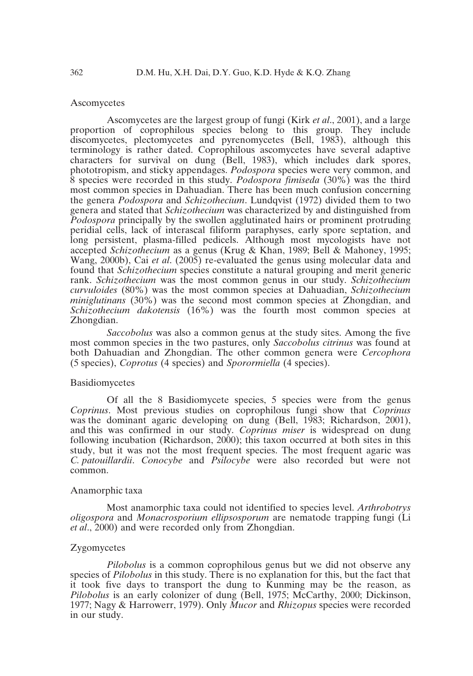#### **Ascomycetes**

Ascomycetes are the largest group of fungi (Kirk *et al*., 2001), and a large proportion of coprophilous species belong to this group. They include discomycetes, plectomycetes and pyrenomycetes (Bell, 1983), although this terminology is rather dated. Coprophilous ascomycetes have several adaptive characters for survival on dung (Bell, 1983), which includes dark spores, phototropism, and sticky appendages. *Podospora* species were very common, and 8 species were recorded in this study. *Podospora fimiseda* (30%) was the third most common species in Dahuadian. There has been much confusion concerning the genera *Podospora* and *Schizothecium*. Lundqvist (1972) divided them to two genera and stated that *Schizothecium* was characterized by and distinguished from *Podospora* principally by the swollen agglutinated hairs or prominent protruding peridial cells, lack of interascal filiform paraphyses, early spore septation, and long persistent, plasma-filled pedicels. Although most mycologists have not accepted *Schizothecium* as a genus (Krug & Khan, 1989; Bell & Mahoney, 1995; Wang, 2000b), Cai *et al*. (2005) re-evaluated the genus using molecular data and found that *Schizothecium* species constitute a natural grouping and merit generic rank. *Schizothecium* was the most common genus in our study. *Schizothecium curvuloides* (80%) was the most common species at Dahuadian, *Schizothecium miniglutinans* (30%) was the second most common species at Zhongdian, and *Schizothecium dakotensis* (16%) was the fourth most common species at Zhongdian.

*Saccobolus* was also a common genus at the study sites. Among the five most common species in the two pastures, only *Saccobolus citrinus* was found at both Dahuadian and Zhongdian. The other common genera were *Cercophora* (5 species), *Coprotus* (4 species) and *Sporormiella* (4 species).

#### Basidiomycetes

Of all the 8 Basidiomycete species, 5 species were from the genus *Coprinus*. Most previous studies on coprophilous fungi show that *Coprinus* was the dominant agaric developing on dung (Bell, 1983; Richardson, 2001), and this was confirmed in our study. *Coprinus miser* is widespread on dung following incubation (Richardson, 2000); this taxon occurred at both sites in this study, but it was not the most frequent species. The most frequent agaric was *C. patouillardii*. *Conocybe* and *Psilocybe* were also recorded but were not common.

#### Anamorphic taxa

Most anamorphic taxa could not identified to species level. *Arthrobotrys oligospora* and *Monacrosporium ellipsosporum* are nematode trapping fungi (Li *et al*., 2000) and were recorded only from Zhongdian.

## Zygomycetes

*Pilobolus* is a common coprophilous genus but we did not observe any species of *Pilobolus* in this study. There is no explanation for this, but the fact that it took five days to transport the dung to Kunming may be the reason, as *Pilobolus* is an early colonizer of dung (Bell, 1975; McCarthy, 2000; Dickinson, 1977; Nagy & Harrowerr, 1979). Only *Mucor* and *Rhizopus* species were recorded in our study.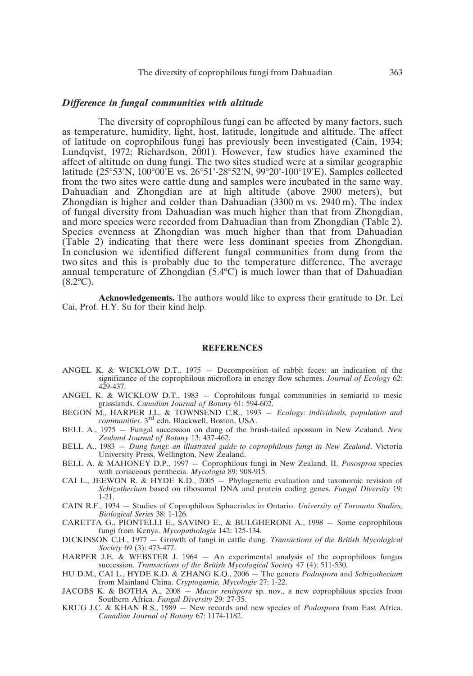#### *Difference in fungal communities with altitude*

The diversity of coprophilous fungi can be affected by many factors, such as temperature, humidity, light, host, latitude, longitude and altitude. The affect of latitude on coprophilous fungi has previously been investigated (Cain, 1934; Lundqvist, 1972; Richardson, 2001). However, few studies have examined the affect of altitude on dung fungi. The two sites studied were at a similar geographic latitude (25°53'N, 100°00'E vs. 26°51'-28°52'N, 99°20'-100°19'E). Samples collected from the two sites were cattle dung and samples were incubated in the same way. Dahuadian and Zhongdian are at high altitude (above 2900 meters), but Zhongdian is higher and colder than Dahuadian  $(3300 \text{ m} \text{ vs. } 2940 \text{ m})$ . The index of fungal diversity from Dahuadian was much higher than that from Zhongdian, and more species were recorded from Dahuadian than from Zhongdian (Table 2). Species evenness at Zhongdian was much higher than that from Dahuadian (Table 2) indicating that there were less dominant species from Zhongdian. In conclusion we identified different fungal communities from dung from the two sites and this is probably due to the temperature difference. The average annual temperature of Zhongdian (5.4ºC) is much lower than that of Dahuadian  $(8.2$ <sup>o</sup>C).

**Acknowledgements.** The authors would like to express their gratitude to Dr. Lei Cai, Prof. H.Y. Su for their kind help.

#### **REFERENCES**

- ANGEL K. & WICKLOW D.T., 1975 Decomposition of rabbit feces: an indication of the significance of the coprophilous microflora in energy flow schemes. *Journal of Ecology* 62: 429-437.
- ANGEL K. & WICKLOW D.T., 1983 Coprohilous fungal communities in semiarid to mesic grasslands. *Canadian Journal of Botany* 61: 594-602.
- BEGON M., HARPER J.L. & TOWNSEND C.R., 1993 *Ecology: individuals, population and communities*. 3rd edn. Blackwell, Boston, USA.
- BELL A., 1975 Fungal succession on dung of the brush-tailed opossum in New Zealand. *New Zealand Journal of Botany* 13: 437-462.
- BELL A., 1983 *Dung fungi: an illustrated guide to coprophilous fungi in New Zealand*. Victoria University Press, Wellington, New Zealand.
- BELL A. & MAHONEY D.P., 1997 Coprophilous fungi in New Zealand. II. *Pososproa* species with coriaceous perithecia. *Mycologia* 89: 908-915.
- CAI L., JEEWON R. & HYDE K.D.,  $2005 -$  Phylogenetic evaluation and taxonomic revision of *Schizothecium* based on ribosomal DNA and protein coding genes. *Fungal Diversity* 19: 1-21.
- CAIN R.F., 1934 Studies of Coprophilous Sphaeriales in Ontario. *University of Toronoto Studies, Biological Series* 38: 1-126.
- CARETTA G., PIONTELLI E., SAVINO E., & BULGHERONI A., 1998 Some coprophilous fungi from Kenya. *Mycopathologia* 142: 125-134.
- DICKINSON C.H., 1977 Growth of fungi in cattle dung. *Transactions of the British Mycological Society* 69 (3): 473-477.
- HARPER J.E. & WEBSTER J. 1964 An experimental analysis of the coprophilous fungus succession. *Transactions of the British Mycological Society* 47 (4): 511-530.
- HU D.M., CAI L., HYDE K.D. & ZHANG K.Q., 2006 The genera *Podospora* and *Schizothecium* from Mainland China. *Cryptogamie, Mycologie* 27: 1-22.
- JACOBS K. & BOTHA A., 2008 *Mucor renispora* sp. nov., a new coprophilous species from Southern Africa. *Fungal Diversity* 29: 27-35.
- KRUG J.C. & KHAN R.S., 1989 New records and new species of *Podospora* from East Africa. *Canadian Journal of Botany* 67: 1174-1182.